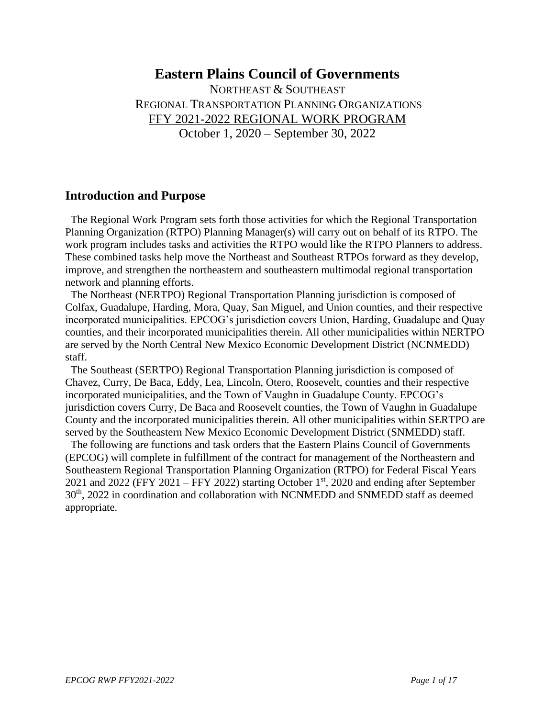# **Eastern Plains Council of Governments**

NORTHEAST & SOUTHEAST REGIONAL TRANSPORTATION PLANNING ORGANIZATIONS FFY 2021-2022 REGIONAL WORK PROGRAM October 1, 2020 – September 30, 2022

## **Introduction and Purpose**

 The Regional Work Program sets forth those activities for which the Regional Transportation Planning Organization (RTPO) Planning Manager(s) will carry out on behalf of its RTPO. The work program includes tasks and activities the RTPO would like the RTPO Planners to address. These combined tasks help move the Northeast and Southeast RTPOs forward as they develop, improve, and strengthen the northeastern and southeastern multimodal regional transportation network and planning efforts.

 The Northeast (NERTPO) Regional Transportation Planning jurisdiction is composed of Colfax, Guadalupe, Harding, Mora, Quay, San Miguel, and Union counties, and their respective incorporated municipalities. EPCOG's jurisdiction covers Union, Harding, Guadalupe and Quay counties, and their incorporated municipalities therein. All other municipalities within NERTPO are served by the North Central New Mexico Economic Development District (NCNMEDD) staff.

 The Southeast (SERTPO) Regional Transportation Planning jurisdiction is composed of Chavez, Curry, De Baca, Eddy, Lea, Lincoln, Otero, Roosevelt, counties and their respective incorporated municipalities, and the Town of Vaughn in Guadalupe County. EPCOG's jurisdiction covers Curry, De Baca and Roosevelt counties, the Town of Vaughn in Guadalupe County and the incorporated municipalities therein. All other municipalities within SERTPO are served by the Southeastern New Mexico Economic Development District (SNMEDD) staff.

 The following are functions and task orders that the Eastern Plains Council of Governments (EPCOG) will complete in fulfillment of the contract for management of the Northeastern and Southeastern Regional Transportation Planning Organization (RTPO) for Federal Fiscal Years 2021 and 2022 (FFY 2021 – FFY 2022) starting October  $1<sup>st</sup>$ , 2020 and ending after September 30th, 2022 in coordination and collaboration with NCNMEDD and SNMEDD staff as deemed appropriate.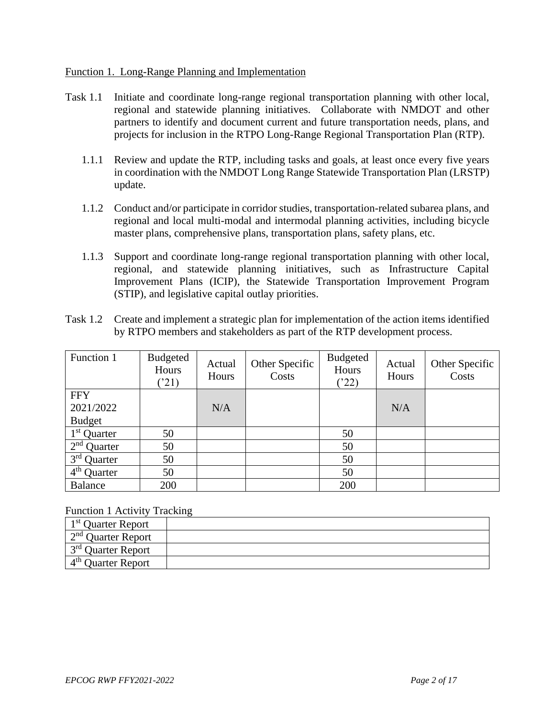#### Function 1. Long-Range Planning and Implementation

- Task 1.1 Initiate and coordinate long-range regional transportation planning with other local, regional and statewide planning initiatives. Collaborate with NMDOT and other partners to identify and document current and future transportation needs, plans, and projects for inclusion in the RTPO Long-Range Regional Transportation Plan (RTP).
	- 1.1.1 Review and update the RTP, including tasks and goals, at least once every five years in coordination with the NMDOT Long Range Statewide Transportation Plan (LRSTP) update.
	- 1.1.2 Conduct and/or participate in corridor studies, transportation-related subarea plans, and regional and local multi-modal and intermodal planning activities, including bicycle master plans, comprehensive plans, transportation plans, safety plans, etc.
	- 1.1.3 Support and coordinate long-range regional transportation planning with other local, regional, and statewide planning initiatives, such as Infrastructure Capital Improvement Plans (ICIP), the Statewide Transportation Improvement Program (STIP), and legislative capital outlay priorities.
- Task 1.2 Create and implement a strategic plan for implementation of the action items identified by RTPO members and stakeholders as part of the RTP development process.

| Function 1              | <b>Budgeted</b><br>Hours<br>('21) | Actual<br>Hours | Other Specific<br>Costs | <b>Budgeted</b><br>Hours<br>(22) | Actual<br>Hours | Other Specific<br>Costs |
|-------------------------|-----------------------------------|-----------------|-------------------------|----------------------------------|-----------------|-------------------------|
| <b>FFY</b>              |                                   |                 |                         |                                  |                 |                         |
| 2021/2022               |                                   | N/A             |                         |                                  | N/A             |                         |
| <b>Budget</b>           |                                   |                 |                         |                                  |                 |                         |
| 1 <sup>st</sup> Quarter | 50                                |                 |                         | 50                               |                 |                         |
| $2nd$ Quarter           | 50                                |                 |                         | 50                               |                 |                         |
| $3rd$ Quarter           | 50                                |                 |                         | 50                               |                 |                         |
| $4th$ Quarter           | 50                                |                 |                         | 50                               |                 |                         |
| Balance                 | 200                               |                 |                         | 200                              |                 |                         |

#### Function 1 Activity Tracking

| $1st$ Quarter Report         |  |
|------------------------------|--|
| $\sim 2^{nd}$ Quarter Report |  |
| $1^{3^{rd}}$ Quarter Report  |  |
| $4th$ Ouarter Report         |  |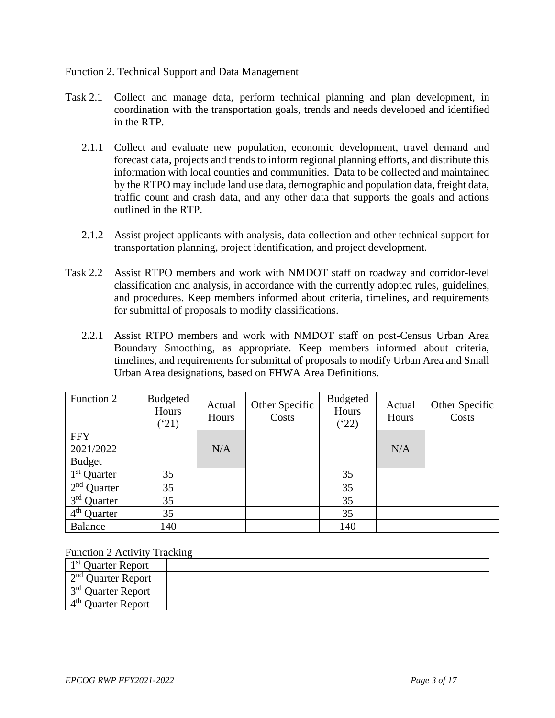#### Function 2. Technical Support and Data Management

- Task 2.1 Collect and manage data, perform technical planning and plan development, in coordination with the transportation goals, trends and needs developed and identified in the RTP.
	- 2.1.1 Collect and evaluate new population, economic development, travel demand and forecast data, projects and trends to inform regional planning efforts, and distribute this information with local counties and communities. Data to be collected and maintained by the RTPO may include land use data, demographic and population data, freight data, traffic count and crash data, and any other data that supports the goals and actions outlined in the RTP.
	- 2.1.2 Assist project applicants with analysis, data collection and other technical support for transportation planning, project identification, and project development.
- Task 2.2 Assist RTPO members and work with NMDOT staff on roadway and corridor-level classification and analysis, in accordance with the currently adopted rules, guidelines, and procedures. Keep members informed about criteria, timelines, and requirements for submittal of proposals to modify classifications.
	- 2.2.1 Assist RTPO members and work with NMDOT staff on post-Census Urban Area Boundary Smoothing, as appropriate. Keep members informed about criteria, timelines, and requirements for submittal of proposals to modify Urban Area and Small Urban Area designations, based on FHWA Area Definitions.

| Function 2                         | <b>Budgeted</b><br>Hours<br>(21) | Actual<br>Hours | Other Specific<br>Costs | <b>Budgeted</b><br>Hours<br>(22) | Actual<br>Hours | Other Specific<br>Costs |
|------------------------------------|----------------------------------|-----------------|-------------------------|----------------------------------|-----------------|-------------------------|
| <b>FFY</b>                         |                                  |                 |                         |                                  |                 |                         |
| 2021/2022                          |                                  | N/A             |                         |                                  | N/A             |                         |
| <b>Budget</b>                      |                                  |                 |                         |                                  |                 |                         |
| $1st$ Quarter                      | 35                               |                 |                         | 35                               |                 |                         |
| $2nd$ Quarter                      | 35                               |                 |                         | 35                               |                 |                         |
| $3rd$ Quarter                      | 35                               |                 |                         | 35                               |                 |                         |
| $\overline{4}^{\text{th}}$ Quarter | 35                               |                 |                         | 35                               |                 |                         |
| Balance                            | 140                              |                 |                         | 140                              |                 |                         |

Function 2 Activity Tracking

| 1 <sup>st</sup> Quarter Report |  |
|--------------------------------|--|
| $\sim 2^{nd}$ Quarter Report   |  |
| $1^{3^{rd}}$ Quarter Report    |  |
| 4 <sup>th</sup> Quarter Report |  |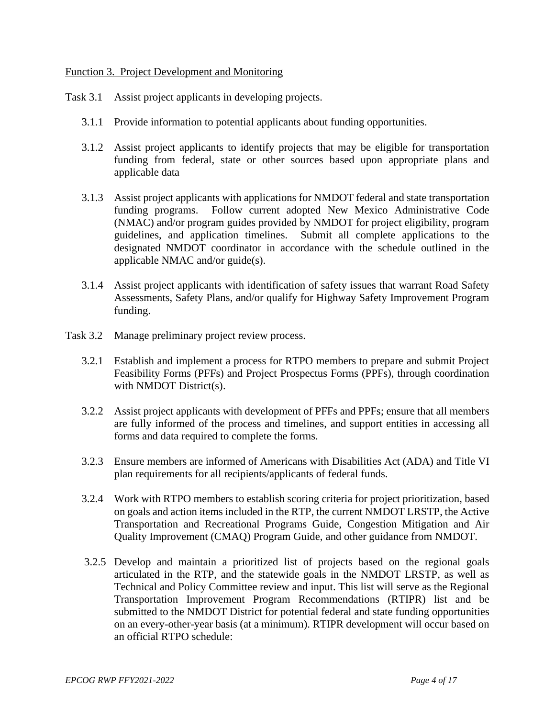#### Function 3. Project Development and Monitoring

Task 3.1 Assist project applicants in developing projects.

- 3.1.1 Provide information to potential applicants about funding opportunities.
- 3.1.2 Assist project applicants to identify projects that may be eligible for transportation funding from federal, state or other sources based upon appropriate plans and applicable data
- 3.1.3 Assist project applicants with applications for NMDOT federal and state transportation funding programs. Follow current adopted New Mexico Administrative Code (NMAC) and/or program guides provided by NMDOT for project eligibility, program guidelines, and application timelines. Submit all complete applications to the designated NMDOT coordinator in accordance with the schedule outlined in the applicable NMAC and/or guide(s).
- 3.1.4 Assist project applicants with identification of safety issues that warrant Road Safety Assessments, Safety Plans, and/or qualify for Highway Safety Improvement Program funding.
- Task 3.2 Manage preliminary project review process.
	- 3.2.1 Establish and implement a process for RTPO members to prepare and submit Project Feasibility Forms (PFFs) and Project Prospectus Forms (PPFs), through coordination with NMDOT District(s).
	- 3.2.2 Assist project applicants with development of PFFs and PPFs; ensure that all members are fully informed of the process and timelines, and support entities in accessing all forms and data required to complete the forms.
	- 3.2.3 Ensure members are informed of Americans with Disabilities Act (ADA) and Title VI plan requirements for all recipients/applicants of federal funds.
	- 3.2.4 Work with RTPO members to establish scoring criteria for project prioritization, based on goals and action items included in the RTP, the current NMDOT LRSTP, the Active Transportation and Recreational Programs Guide, Congestion Mitigation and Air Quality Improvement (CMAQ) Program Guide, and other guidance from NMDOT.
	- 3.2.5 Develop and maintain a prioritized list of projects based on the regional goals articulated in the RTP, and the statewide goals in the NMDOT LRSTP, as well as Technical and Policy Committee review and input. This list will serve as the Regional Transportation Improvement Program Recommendations (RTIPR) list and be submitted to the NMDOT District for potential federal and state funding opportunities on an every-other-year basis (at a minimum). RTIPR development will occur based on an official RTPO schedule: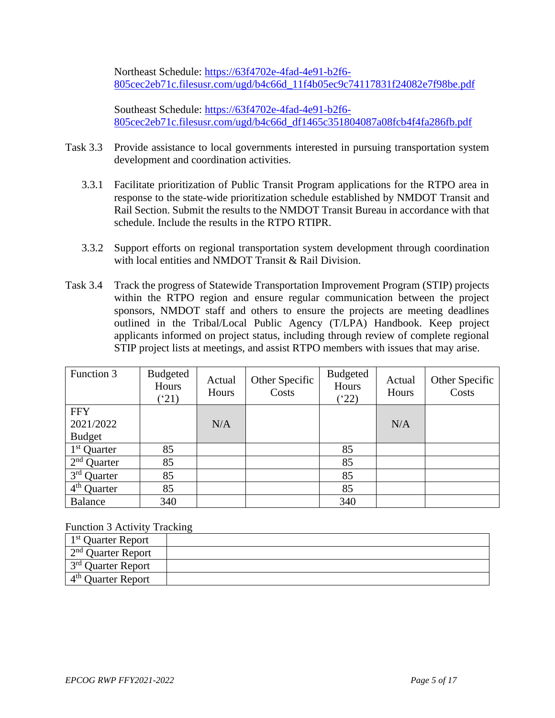Northeast Schedule: [https://63f4702e-4fad-4e91-b2f6-](https://63f4702e-4fad-4e91-b2f6-805cec2eb71c.filesusr.com/ugd/b4c66d_11f4b05ec9c74117831f24082e7f98be.pdf) [805cec2eb71c.filesusr.com/ugd/b4c66d\\_11f4b05ec9c74117831f24082e7f98be.pdf](https://63f4702e-4fad-4e91-b2f6-805cec2eb71c.filesusr.com/ugd/b4c66d_11f4b05ec9c74117831f24082e7f98be.pdf)

Southeast Schedule: [https://63f4702e-4fad-4e91-b2f6-](https://63f4702e-4fad-4e91-b2f6-805cec2eb71c.filesusr.com/ugd/b4c66d_df1465c351804087a08fcb4f4fa286fb.pdf) [805cec2eb71c.filesusr.com/ugd/b4c66d\\_df1465c351804087a08fcb4f4fa286fb.pdf](https://63f4702e-4fad-4e91-b2f6-805cec2eb71c.filesusr.com/ugd/b4c66d_df1465c351804087a08fcb4f4fa286fb.pdf)

- Task 3.3 Provide assistance to local governments interested in pursuing transportation system development and coordination activities.
	- 3.3.1 Facilitate prioritization of Public Transit Program applications for the RTPO area in response to the state-wide prioritization schedule established by NMDOT Transit and Rail Section. Submit the results to the NMDOT Transit Bureau in accordance with that schedule. Include the results in the RTPO RTIPR.
	- 3.3.2 Support efforts on regional transportation system development through coordination with local entities and NMDOT Transit & Rail Division.
- Task 3.4 Track the progress of Statewide Transportation Improvement Program (STIP) projects within the RTPO region and ensure regular communication between the project sponsors, NMDOT staff and others to ensure the projects are meeting deadlines outlined in the Tribal/Local Public Agency (T/LPA) Handbook. Keep project applicants informed on project status, including through review of complete regional STIP project lists at meetings, and assist RTPO members with issues that may arise.

| Function 3                         | <b>Budgeted</b><br>Hours<br>$^{\prime}21)$ | Actual<br>Hours | Other Specific<br>Costs | <b>Budgeted</b><br>Hours<br>(22) | Actual<br>Hours | Other Specific<br>Costs |
|------------------------------------|--------------------------------------------|-----------------|-------------------------|----------------------------------|-----------------|-------------------------|
| <b>FFY</b>                         |                                            |                 |                         |                                  |                 |                         |
| 2021/2022                          |                                            | N/A             |                         |                                  | N/A             |                         |
| <b>Budget</b>                      |                                            |                 |                         |                                  |                 |                         |
| $1st$ Quarter                      | 85                                         |                 |                         | 85                               |                 |                         |
| $2nd$ Quarter                      | 85                                         |                 |                         | 85                               |                 |                         |
| $3rd$ Quarter                      | 85                                         |                 |                         | 85                               |                 |                         |
| $\overline{4}^{\text{th}}$ Quarter | 85                                         |                 |                         | 85                               |                 |                         |
| Balance                            | 340                                        |                 |                         | 340                              |                 |                         |

Function 3 Activity Tracking

| 1 <sup>st</sup> Quarter Report |  |
|--------------------------------|--|
| $2nd$ Ouarter Report           |  |
| 3 <sup>rd</sup> Quarter Report |  |
| $4th$ Ouarter Report           |  |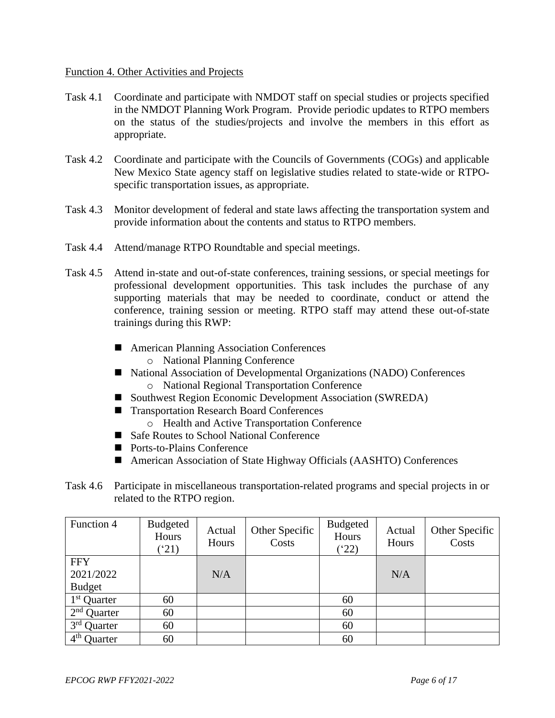#### Function 4. Other Activities and Projects

- Task 4.1 Coordinate and participate with NMDOT staff on special studies or projects specified in the NMDOT Planning Work Program. Provide periodic updates to RTPO members on the status of the studies/projects and involve the members in this effort as appropriate.
- Task 4.2 Coordinate and participate with the Councils of Governments (COGs) and applicable New Mexico State agency staff on legislative studies related to state-wide or RTPOspecific transportation issues, as appropriate.
- Task 4.3 Monitor development of federal and state laws affecting the transportation system and provide information about the contents and status to RTPO members.
- Task 4.4 Attend/manage RTPO Roundtable and special meetings.
- Task 4.5 Attend in-state and out-of-state conferences, training sessions, or special meetings for professional development opportunities. This task includes the purchase of any supporting materials that may be needed to coordinate, conduct or attend the conference, training session or meeting. RTPO staff may attend these out-of-state trainings during this RWP:
	- American Planning Association Conferences
		- o National Planning Conference
	- National Association of Developmental Organizations (NADO) Conferences o National Regional Transportation Conference
	- Southwest Region Economic Development Association (SWREDA)
	- Transportation Research Board Conferences
		- o Health and Active Transportation Conference
	- Safe Routes to School National Conference
	- Ports-to-Plains Conference
	- American Association of State Highway Officials (AASHTO) Conferences
- Task 4.6 Participate in miscellaneous transportation-related programs and special projects in or related to the RTPO region.

| Function 4                        | Budgeted<br>Hours<br>(21) | Actual<br>Hours | Other Specific<br>Costs | <b>Budgeted</b><br>Hours<br>$(^{4}22)$ | Actual<br>Hours | Other Specific<br>Costs |
|-----------------------------------|---------------------------|-----------------|-------------------------|----------------------------------------|-----------------|-------------------------|
| <b>FFY</b><br>2021/2022           |                           | N/A             |                         |                                        | N/A             |                         |
| <b>Budget</b>                     |                           |                 |                         |                                        |                 |                         |
| $1st$ Quarter                     | 60                        |                 |                         | 60                                     |                 |                         |
| $2nd$ Quarter                     | 60                        |                 |                         | 60                                     |                 |                         |
| 3 <sup>rd</sup> Quarter           | 60                        |                 |                         | 60                                     |                 |                         |
| $4^{\text{th}}$<br><b>Quarter</b> | 60                        |                 |                         | 60                                     |                 |                         |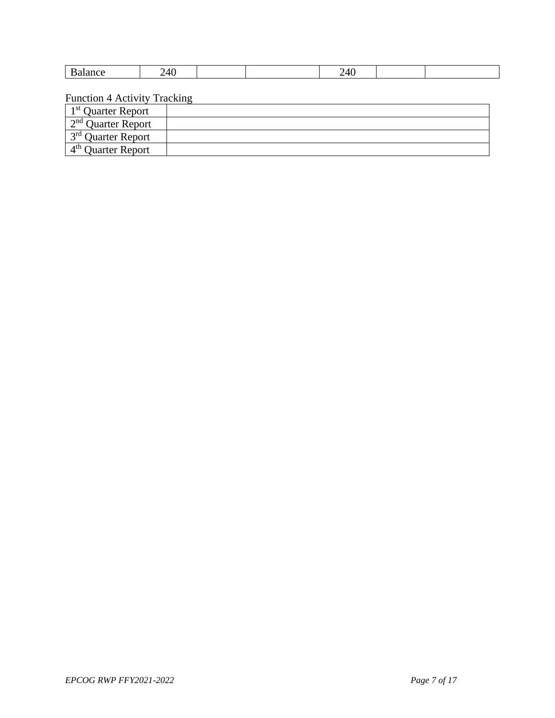| . | ᠇៶<br>-<br>__ |  | __ |  |
|---|---------------|--|----|--|

Function 4 Activity Tracking

| 1 <sup>st</sup> Quarter Report |  |
|--------------------------------|--|
| $2nd$ Quarter Report           |  |
| $1^{3^{rd}}$ Quarter Report    |  |
| $4th$ Ouarter Report           |  |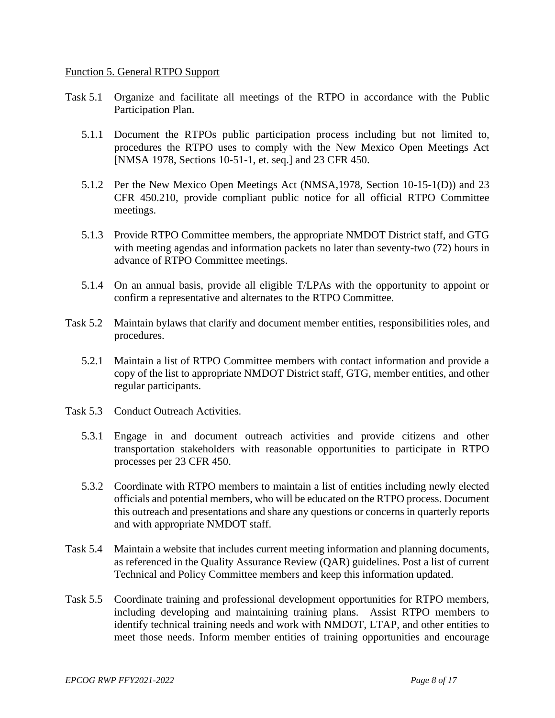#### Function 5. General RTPO Support

- Task 5.1 Organize and facilitate all meetings of the RTPO in accordance with the Public Participation Plan.
	- 5.1.1 Document the RTPOs public participation process including but not limited to, procedures the RTPO uses to comply with the New Mexico Open Meetings Act [NMSA 1978, Sections 10-51-1, et. seq.] and 23 CFR 450.
	- 5.1.2 Per the New Mexico Open Meetings Act (NMSA,1978, Section 10-15-1(D)) and 23 CFR 450.210, provide compliant public notice for all official RTPO Committee meetings.
	- 5.1.3 Provide RTPO Committee members, the appropriate NMDOT District staff, and GTG with meeting agendas and information packets no later than seventy-two (72) hours in advance of RTPO Committee meetings.
	- 5.1.4 On an annual basis, provide all eligible T/LPAs with the opportunity to appoint or confirm a representative and alternates to the RTPO Committee.
- Task 5.2 Maintain bylaws that clarify and document member entities, responsibilities roles, and procedures.
	- 5.2.1 Maintain a list of RTPO Committee members with contact information and provide a copy of the list to appropriate NMDOT District staff, GTG, member entities, and other regular participants.
- Task 5.3 Conduct Outreach Activities.
	- 5.3.1 Engage in and document outreach activities and provide citizens and other transportation stakeholders with reasonable opportunities to participate in RTPO processes per 23 CFR 450.
	- 5.3.2 Coordinate with RTPO members to maintain a list of entities including newly elected officials and potential members, who will be educated on the RTPO process. Document this outreach and presentations and share any questions or concerns in quarterly reports and with appropriate NMDOT staff.
- Task 5.4 Maintain a website that includes current meeting information and planning documents, as referenced in the Quality Assurance Review (QAR) guidelines. Post a list of current Technical and Policy Committee members and keep this information updated.
- Task 5.5 Coordinate training and professional development opportunities for RTPO members, including developing and maintaining training plans. Assist RTPO members to identify technical training needs and work with NMDOT, LTAP, and other entities to meet those needs. Inform member entities of training opportunities and encourage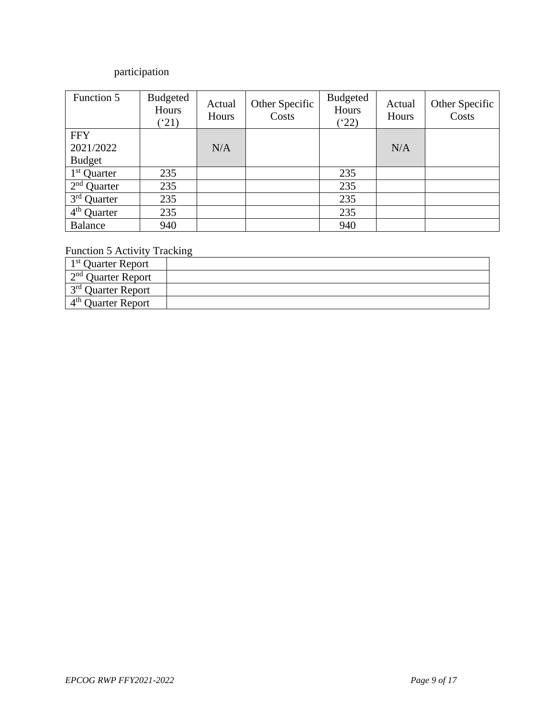# participation

| Function 5                         | <b>Budgeted</b><br>Hours<br>$^{\prime}21)$ | Actual<br>Hours | Other Specific<br>Costs | <b>Budgeted</b><br>Hours<br>(22) | Actual<br>Hours | Other Specific<br>Costs |
|------------------------------------|--------------------------------------------|-----------------|-------------------------|----------------------------------|-----------------|-------------------------|
| <b>FFY</b>                         |                                            |                 |                         |                                  |                 |                         |
| 2021/2022                          |                                            | N/A             |                         |                                  | N/A             |                         |
| <b>Budget</b>                      |                                            |                 |                         |                                  |                 |                         |
| 1 <sup>st</sup> Quarter            | 235                                        |                 |                         | 235                              |                 |                         |
| $2nd$ Quarter                      | 235                                        |                 |                         | 235                              |                 |                         |
| $3rd$ Quarter                      | 235                                        |                 |                         | 235                              |                 |                         |
| $\overline{4}^{\text{th}}$ Quarter | 235                                        |                 |                         | 235                              |                 |                         |
| Balance                            | 940                                        |                 |                         | 940                              |                 |                         |

## Function 5 Activity Tracking

| 1 <sup>st</sup> Quarter Report |  |
|--------------------------------|--|
| $\sim 2^{nd}$ Quarter Report   |  |
| $1^{3^{rd}}$ Quarter Report    |  |
| $4th$ Ouarter Report           |  |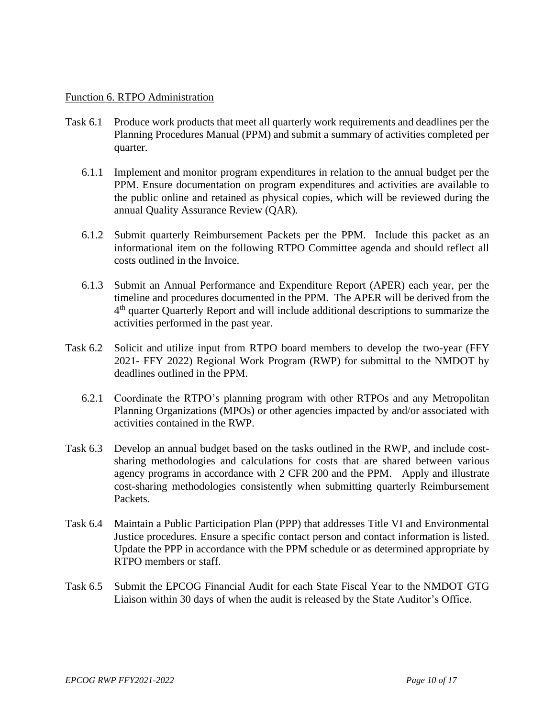#### Function 6. RTPO Administration

- Task 6.1 Produce work products that meet all quarterly work requirements and deadlines per the Planning Procedures Manual (PPM) and submit a summary of activities completed per quarter.
	- 6.1.1 Implement and monitor program expenditures in relation to the annual budget per the PPM. Ensure documentation on program expenditures and activities are available to the public online and retained as physical copies, which will be reviewed during the annual Quality Assurance Review (QAR).
	- 6.1.2 Submit quarterly Reimbursement Packets per the PPM. Include this packet as an informational item on the following RTPO Committee agenda and should reflect all costs outlined in the Invoice.
	- 6.1.3 Submit an Annual Performance and Expenditure Report (APER) each year, per the timeline and procedures documented in the PPM. The APER will be derived from the 4<sup>th</sup> quarter Quarterly Report and will include additional descriptions to summarize the activities performed in the past year.
- Task 6.2 Solicit and utilize input from RTPO board members to develop the two-year (FFY 2021- FFY 2022) Regional Work Program (RWP) for submittal to the NMDOT by deadlines outlined in the PPM.
	- 6.2.1 Coordinate the RTPO's planning program with other RTPOs and any Metropolitan Planning Organizations (MPOs) or other agencies impacted by and/or associated with activities contained in the RWP.
- Task 6.3 Develop an annual budget based on the tasks outlined in the RWP, and include costsharing methodologies and calculations for costs that are shared between various agency programs in accordance with 2 CFR 200 and the PPM. Apply and illustrate cost-sharing methodologies consistently when submitting quarterly Reimbursement Packets.
- Task 6.4 Maintain a Public Participation Plan (PPP) that addresses Title VI and Environmental Justice procedures. Ensure a specific contact person and contact information is listed. Update the PPP in accordance with the PPM schedule or as determined appropriate by RTPO members or staff.
- Task 6.5 Submit the EPCOG Financial Audit for each State Fiscal Year to the NMDOT GTG Liaison within 30 days of when the audit is released by the State Auditor's Office.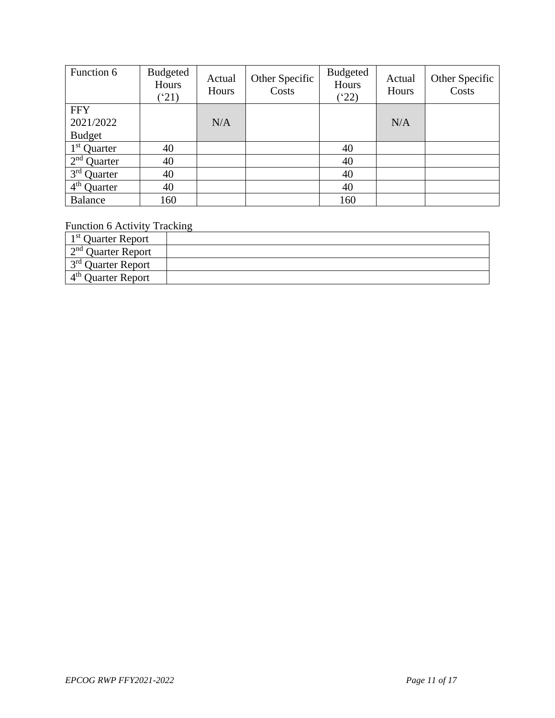| Function 6                 | Budgeted<br>Hours<br>$^{\prime}21)$ | Actual<br>Hours | Other Specific<br>Costs | <b>Budgeted</b><br>Hours<br>$(^{4}22)$ | Actual<br>Hours | Other Specific<br>Costs |
|----------------------------|-------------------------------------|-----------------|-------------------------|----------------------------------------|-----------------|-------------------------|
| <b>FFY</b>                 |                                     |                 |                         |                                        |                 |                         |
| 2021/2022                  |                                     | N/A             |                         |                                        | N/A             |                         |
| <b>Budget</b>              |                                     |                 |                         |                                        |                 |                         |
| $1st$ Quarter              | 40                                  |                 |                         | 40                                     |                 |                         |
| 2 <sup>nd</sup><br>Quarter | 40                                  |                 |                         | 40                                     |                 |                         |
| $3rd$ Quarter              | 40                                  |                 |                         | 40                                     |                 |                         |
| $4th$ Quarter              | 40                                  |                 |                         | 40                                     |                 |                         |
| <b>Balance</b>             | 160                                 |                 |                         | 160                                    |                 |                         |

Function 6 Activity Tracking

| 1 <sup>st</sup> Quarter Report |  |
|--------------------------------|--|
| $2nd$ Ouarter Report           |  |
| 3 <sup>rd</sup> Ouarter Report |  |
| $4th$ Ouarter Report           |  |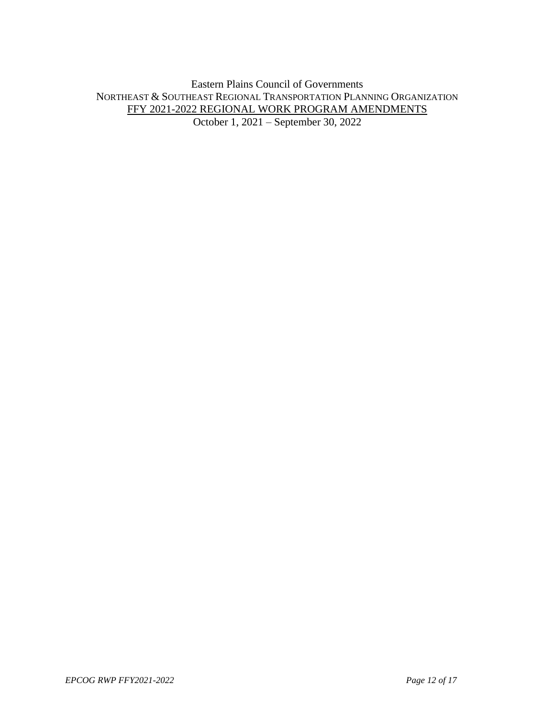Eastern Plains Council of Governments NORTHEAST & SOUTHEAST REGIONAL TRANSPORTATION PLANNING ORGANIZATION FFY 2021-2022 REGIONAL WORK PROGRAM AMENDMENTS October 1, 2021 – September 30, 2022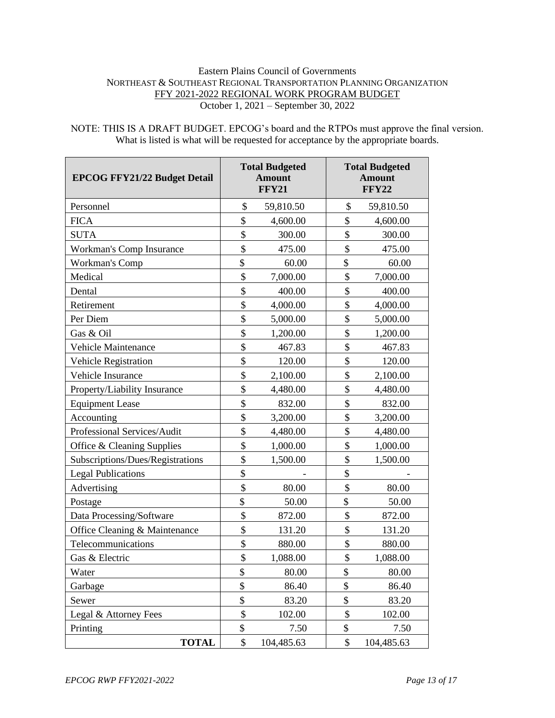#### Eastern Plains Council of Governments NORTHEAST & SOUTHEAST REGIONAL TRANSPORTATION PLANNING ORGANIZATION FFY 2021-2022 REGIONAL WORK PROGRAM BUDGET October 1, 2021 – September 30, 2022

NOTE: THIS IS A DRAFT BUDGET. EPCOG's board and the RTPOs must approve the final version. What is listed is what will be requested for acceptance by the appropriate boards.

| <b>EPCOG FFY21/22 Budget Detail</b> | <b>Total Budgeted</b><br><b>Amount</b><br><b>FFY21</b> |            | <b>Total Budgeted</b><br><b>Amount</b><br><b>FFY22</b> |            |
|-------------------------------------|--------------------------------------------------------|------------|--------------------------------------------------------|------------|
| Personnel                           | \$                                                     | 59,810.50  | \$                                                     | 59,810.50  |
| <b>FICA</b>                         | \$                                                     | 4,600.00   | \$                                                     | 4,600.00   |
| <b>SUTA</b>                         | \$                                                     | 300.00     | \$                                                     | 300.00     |
| Workman's Comp Insurance            | \$                                                     | 475.00     | \$                                                     | 475.00     |
| Workman's Comp                      | \$                                                     | 60.00      | \$                                                     | 60.00      |
| Medical                             | \$                                                     | 7,000.00   | \$                                                     | 7,000.00   |
| Dental                              | \$                                                     | 400.00     | \$                                                     | 400.00     |
| Retirement                          | \$                                                     | 4,000.00   | \$                                                     | 4,000.00   |
| Per Diem                            | \$                                                     | 5,000.00   | \$                                                     | 5,000.00   |
| Gas & Oil                           | \$                                                     | 1,200.00   | \$                                                     | 1,200.00   |
| Vehicle Maintenance                 | \$                                                     | 467.83     | \$                                                     | 467.83     |
| Vehicle Registration                | \$                                                     | 120.00     | \$                                                     | 120.00     |
| Vehicle Insurance                   | \$                                                     | 2,100.00   | \$                                                     | 2,100.00   |
| Property/Liability Insurance        | \$                                                     | 4,480.00   | \$                                                     | 4,480.00   |
| <b>Equipment Lease</b>              | \$                                                     | 832.00     | \$                                                     | 832.00     |
| Accounting                          | \$                                                     | 3,200.00   | \$                                                     | 3,200.00   |
| Professional Services/Audit         | \$                                                     | 4,480.00   | \$                                                     | 4,480.00   |
| Office & Cleaning Supplies          | \$                                                     | 1,000.00   | \$                                                     | 1,000.00   |
| Subscriptions/Dues/Registrations    | \$                                                     | 1,500.00   | \$                                                     | 1,500.00   |
| <b>Legal Publications</b>           | \$                                                     |            | \$                                                     |            |
| Advertising                         | \$                                                     | 80.00      | \$                                                     | 80.00      |
| Postage                             | \$                                                     | 50.00      | \$                                                     | 50.00      |
| Data Processing/Software            | \$                                                     | 872.00     | \$                                                     | 872.00     |
| Office Cleaning & Maintenance       | \$                                                     | 131.20     | \$                                                     | 131.20     |
| Telecommunications                  | \$                                                     | 880.00     | \$                                                     | 880.00     |
| Gas & Electric                      | \$                                                     | 1,088.00   | \$                                                     | 1,088.00   |
| Water                               | \$                                                     | 80.00      | \$                                                     | 80.00      |
| Garbage                             | \$                                                     | 86.40      | \$                                                     | 86.40      |
| Sewer                               | \$                                                     | 83.20      | \$                                                     | 83.20      |
| Legal & Attorney Fees               | \$                                                     | 102.00     | \$                                                     | 102.00     |
| Printing                            | \$                                                     | 7.50       | \$                                                     | 7.50       |
| <b>TOTAL</b>                        | $\$\,$                                                 | 104,485.63 | \$                                                     | 104,485.63 |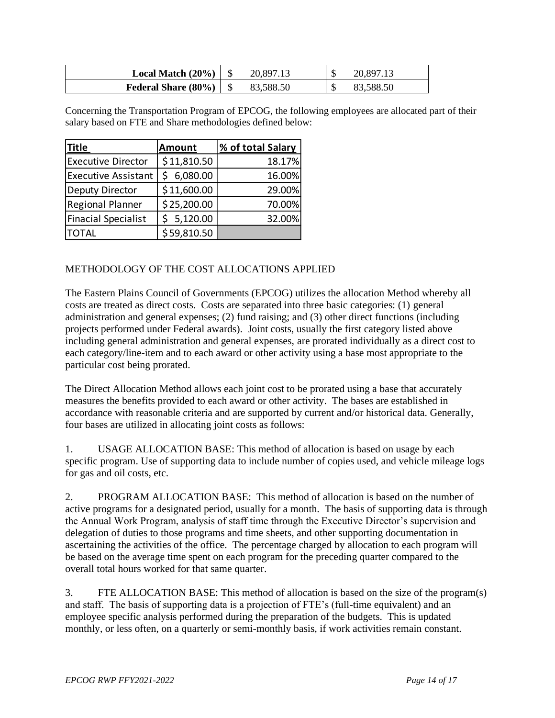| Local Match $(20\%)$ | 20,897.13 | 20,897    |
|----------------------|-----------|-----------|
| Federal Share (80%)  | 83,588.50 | 83,588.50 |

Concerning the Transportation Program of EPCOG, the following employees are allocated part of their salary based on FTE and Share methodologies defined below:

| <b>Title</b>               | Amount      | % of total Salary |  |  |
|----------------------------|-------------|-------------------|--|--|
| <b>Executive Director</b>  | \$11,810.50 | 18.17%            |  |  |
| <b>Executive Assistant</b> | \$6,080.00  | 16.00%            |  |  |
| Deputy Director            | \$11,600.00 | 29.00%            |  |  |
| Regional Planner           | \$25,200.00 | 70.00%            |  |  |
| <b>Finacial Specialist</b> | \$5,120.00  | 32.00%            |  |  |
| <b>TOTAL</b>               | \$59,810.50 |                   |  |  |

### METHODOLOGY OF THE COST ALLOCATIONS APPLIED

The Eastern Plains Council of Governments (EPCOG) utilizes the allocation Method whereby all costs are treated as direct costs. Costs are separated into three basic categories: (1) general administration and general expenses; (2) fund raising; and (3) other direct functions (including projects performed under Federal awards). Joint costs, usually the first category listed above including general administration and general expenses, are prorated individually as a direct cost to each category/line-item and to each award or other activity using a base most appropriate to the particular cost being prorated.

The Direct Allocation Method allows each joint cost to be prorated using a base that accurately measures the benefits provided to each award or other activity. The bases are established in accordance with reasonable criteria and are supported by current and/or historical data. Generally, four bases are utilized in allocating joint costs as follows:

1. USAGE ALLOCATION BASE: This method of allocation is based on usage by each specific program. Use of supporting data to include number of copies used, and vehicle mileage logs for gas and oil costs, etc.

2. PROGRAM ALLOCATION BASE: This method of allocation is based on the number of active programs for a designated period, usually for a month. The basis of supporting data is through the Annual Work Program, analysis of staff time through the Executive Director's supervision and delegation of duties to those programs and time sheets, and other supporting documentation in ascertaining the activities of the office. The percentage charged by allocation to each program will be based on the average time spent on each program for the preceding quarter compared to the overall total hours worked for that same quarter.

3. FTE ALLOCATION BASE: This method of allocation is based on the size of the program(s) and staff. The basis of supporting data is a projection of FTE's (full-time equivalent) and an employee specific analysis performed during the preparation of the budgets. This is updated monthly, or less often, on a quarterly or semi-monthly basis, if work activities remain constant.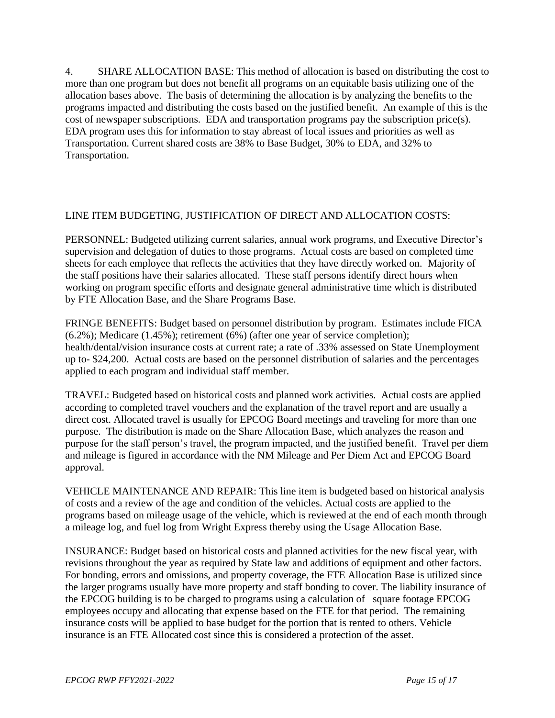4. SHARE ALLOCATION BASE: This method of allocation is based on distributing the cost to more than one program but does not benefit all programs on an equitable basis utilizing one of the allocation bases above. The basis of determining the allocation is by analyzing the benefits to the programs impacted and distributing the costs based on the justified benefit. An example of this is the cost of newspaper subscriptions. EDA and transportation programs pay the subscription price(s). EDA program uses this for information to stay abreast of local issues and priorities as well as Transportation. Current shared costs are 38% to Base Budget, 30% to EDA, and 32% to Transportation.

#### LINE ITEM BUDGETING, JUSTIFICATION OF DIRECT AND ALLOCATION COSTS:

PERSONNEL: Budgeted utilizing current salaries, annual work programs, and Executive Director's supervision and delegation of duties to those programs. Actual costs are based on completed time sheets for each employee that reflects the activities that they have directly worked on. Majority of the staff positions have their salaries allocated. These staff persons identify direct hours when working on program specific efforts and designate general administrative time which is distributed by FTE Allocation Base, and the Share Programs Base.

FRINGE BENEFITS: Budget based on personnel distribution by program. Estimates include FICA  $(6.2\%)$ ; Medicare  $(1.45\%)$ ; retirement  $(6\%)$  (after one year of service completion); health/dental/vision insurance costs at current rate; a rate of .33% assessed on State Unemployment up to- \$24,200. Actual costs are based on the personnel distribution of salaries and the percentages applied to each program and individual staff member.

TRAVEL: Budgeted based on historical costs and planned work activities. Actual costs are applied according to completed travel vouchers and the explanation of the travel report and are usually a direct cost. Allocated travel is usually for EPCOG Board meetings and traveling for more than one purpose. The distribution is made on the Share Allocation Base, which analyzes the reason and purpose for the staff person's travel, the program impacted, and the justified benefit. Travel per diem and mileage is figured in accordance with the NM Mileage and Per Diem Act and EPCOG Board approval.

VEHICLE MAINTENANCE AND REPAIR: This line item is budgeted based on historical analysis of costs and a review of the age and condition of the vehicles. Actual costs are applied to the programs based on mileage usage of the vehicle, which is reviewed at the end of each month through a mileage log, and fuel log from Wright Express thereby using the Usage Allocation Base.

INSURANCE: Budget based on historical costs and planned activities for the new fiscal year, with revisions throughout the year as required by State law and additions of equipment and other factors. For bonding, errors and omissions, and property coverage, the FTE Allocation Base is utilized since the larger programs usually have more property and staff bonding to cover. The liability insurance of the EPCOG building is to be charged to programs using a calculation of square footage EPCOG employees occupy and allocating that expense based on the FTE for that period. The remaining insurance costs will be applied to base budget for the portion that is rented to others. Vehicle insurance is an FTE Allocated cost since this is considered a protection of the asset.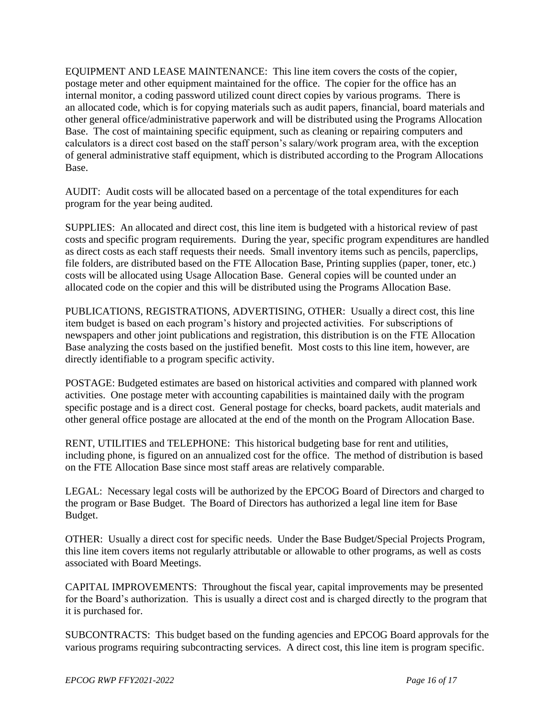EQUIPMENT AND LEASE MAINTENANCE: This line item covers the costs of the copier, postage meter and other equipment maintained for the office. The copier for the office has an internal monitor, a coding password utilized count direct copies by various programs. There is an allocated code, which is for copying materials such as audit papers, financial, board materials and other general office/administrative paperwork and will be distributed using the Programs Allocation Base. The cost of maintaining specific equipment, such as cleaning or repairing computers and calculators is a direct cost based on the staff person's salary/work program area, with the exception of general administrative staff equipment, which is distributed according to the Program Allocations Base.

AUDIT: Audit costs will be allocated based on a percentage of the total expenditures for each program for the year being audited.

SUPPLIES: An allocated and direct cost, this line item is budgeted with a historical review of past costs and specific program requirements. During the year, specific program expenditures are handled as direct costs as each staff requests their needs. Small inventory items such as pencils, paperclips, file folders, are distributed based on the FTE Allocation Base, Printing supplies (paper, toner, etc.) costs will be allocated using Usage Allocation Base. General copies will be counted under an allocated code on the copier and this will be distributed using the Programs Allocation Base.

PUBLICATIONS, REGISTRATIONS, ADVERTISING, OTHER: Usually a direct cost, this line item budget is based on each program's history and projected activities. For subscriptions of newspapers and other joint publications and registration, this distribution is on the FTE Allocation Base analyzing the costs based on the justified benefit. Most costs to this line item, however, are directly identifiable to a program specific activity.

POSTAGE: Budgeted estimates are based on historical activities and compared with planned work activities. One postage meter with accounting capabilities is maintained daily with the program specific postage and is a direct cost. General postage for checks, board packets, audit materials and other general office postage are allocated at the end of the month on the Program Allocation Base.

RENT, UTILITIES and TELEPHONE: This historical budgeting base for rent and utilities, including phone, is figured on an annualized cost for the office. The method of distribution is based on the FTE Allocation Base since most staff areas are relatively comparable.

LEGAL: Necessary legal costs will be authorized by the EPCOG Board of Directors and charged to the program or Base Budget. The Board of Directors has authorized a legal line item for Base Budget.

OTHER: Usually a direct cost for specific needs. Under the Base Budget/Special Projects Program, this line item covers items not regularly attributable or allowable to other programs, as well as costs associated with Board Meetings.

CAPITAL IMPROVEMENTS: Throughout the fiscal year, capital improvements may be presented for the Board's authorization. This is usually a direct cost and is charged directly to the program that it is purchased for.

SUBCONTRACTS: This budget based on the funding agencies and EPCOG Board approvals for the various programs requiring subcontracting services. A direct cost, this line item is program specific.